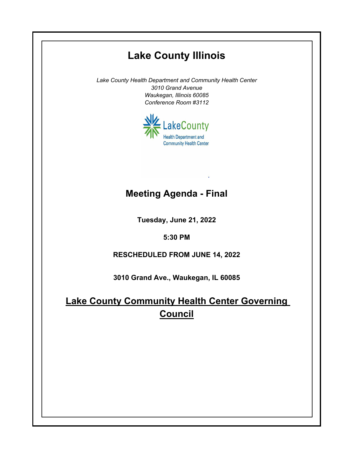## **Lake County Illinois**

*Lake County Health Department and Community Health Center 3010 Grand Avenue Waukegan, Illinois 60085 Conference Room #3112*



## **Meeting Agenda - Final**

**Tuesday, June 21, 2022**

**5:30 PM**

**RESCHEDULED FROM JUNE 14, 2022**

**3010 Grand Ave., Waukegan, IL 60085**

**Lake County Community Health Center Governing Council**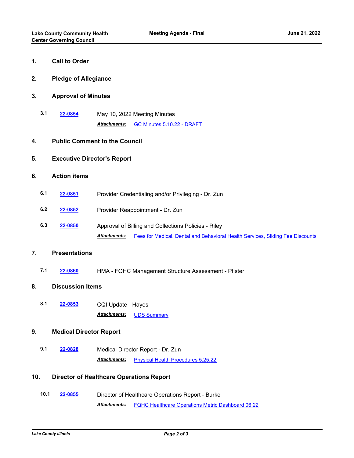| 1.                                                     | <b>Call to Order</b>                 |                                                                                                       |
|--------------------------------------------------------|--------------------------------------|-------------------------------------------------------------------------------------------------------|
| 2.                                                     | <b>Pledge of Allegiance</b>          |                                                                                                       |
| 3.                                                     | <b>Approval of Minutes</b>           |                                                                                                       |
| 3.1                                                    | 22-0854                              | May 10, 2022 Meeting Minutes                                                                          |
|                                                        |                                      | Attachments:<br>GC Minutes 5.10.22 - DRAFT                                                            |
| 4.                                                     | <b>Public Comment to the Council</b> |                                                                                                       |
| 5.                                                     | <b>Executive Director's Report</b>   |                                                                                                       |
| 6.                                                     | <b>Action items</b>                  |                                                                                                       |
| 6.1                                                    | 22-0851                              | Provider Credentialing and/or Privileging - Dr. Zun                                                   |
| 6.2                                                    | 22-0852                              | Provider Reappointment - Dr. Zun                                                                      |
| 6.3                                                    | 22-0850                              | Approval of Billing and Collections Policies - Riley                                                  |
|                                                        |                                      | Fees for Medical, Dental and Behavioral Health Services, Sliding Fee Discounts<br><b>Attachments:</b> |
| 7.                                                     | <b>Presentations</b>                 |                                                                                                       |
| 7.1                                                    | 22-0860                              | HMA - FQHC Management Structure Assessment - Pfister                                                  |
| 8.                                                     | <b>Discussion Items</b>              |                                                                                                       |
| 8.1                                                    | 22-0853                              | CQI Update - Hayes                                                                                    |
|                                                        |                                      | Attachments:<br><b>UDS Summary</b>                                                                    |
| 9.                                                     | <b>Medical Director Report</b>       |                                                                                                       |
| 9.1                                                    | 22-0828                              | Medical Director Report - Dr. Zun                                                                     |
|                                                        |                                      | <b>Attachments:</b><br><b>Physical Health Procedures 5.25.22</b>                                      |
| 10.<br><b>Director of Healthcare Operations Report</b> |                                      |                                                                                                       |
| 10.1                                                   | 22-0855                              | Director of Healthcare Operations Report - Burke                                                      |
|                                                        |                                      | <b>FQHC Healthcare Operations Metric Dashboard 06.22</b><br><b>Attachments:</b>                       |